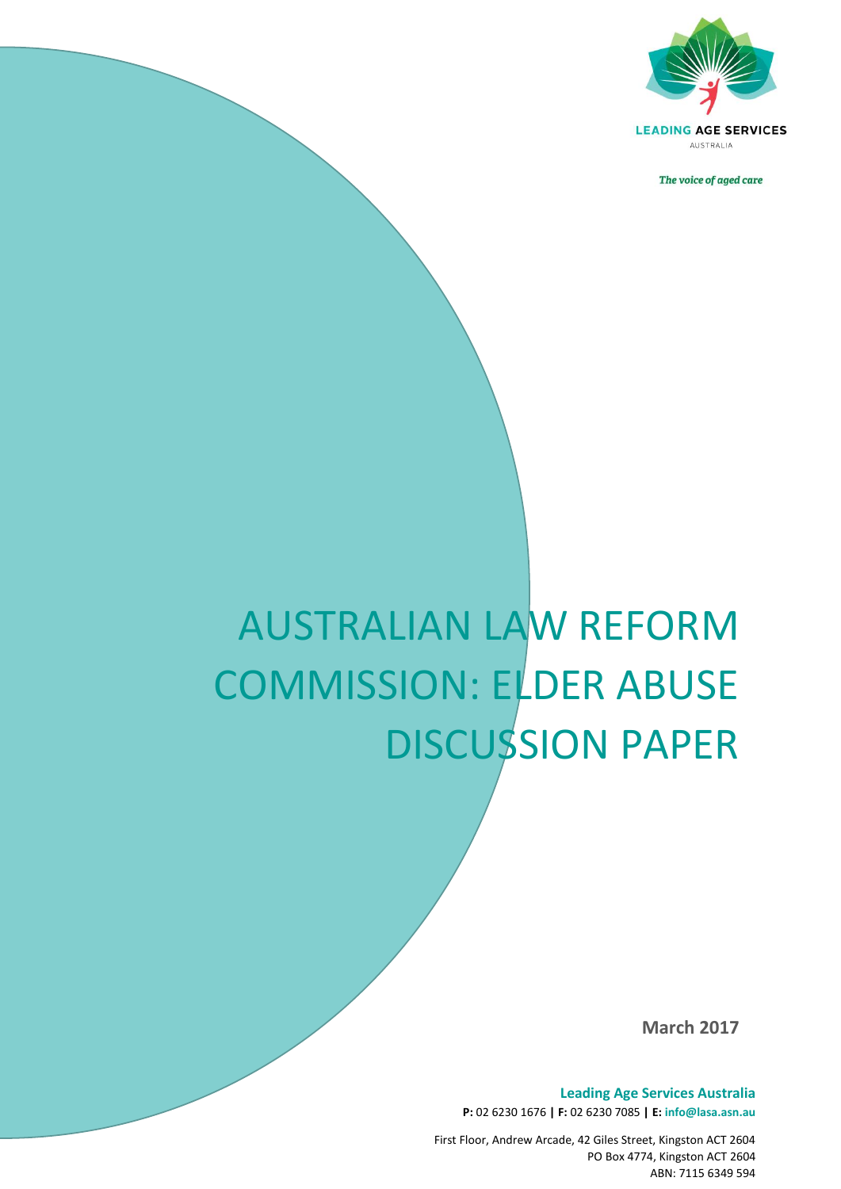

The voice of aged care

# AUSTRALIAN LAW REFORM COMMISSION: ELDER ABUSE DISCUSSION PAPER

*The voice of aged care*

**March 2017**

**Leading Age Services Australia P:** 02 6230 1676 **| F:** 02 6230 7085 **| E: info@lasa.asn.au**

First Floor, Andrew Arcade, 42 Giles Street, Kingston ACT 2604 PO Box 4774, Kingston ACT 2604 ABN: 7115 6349 594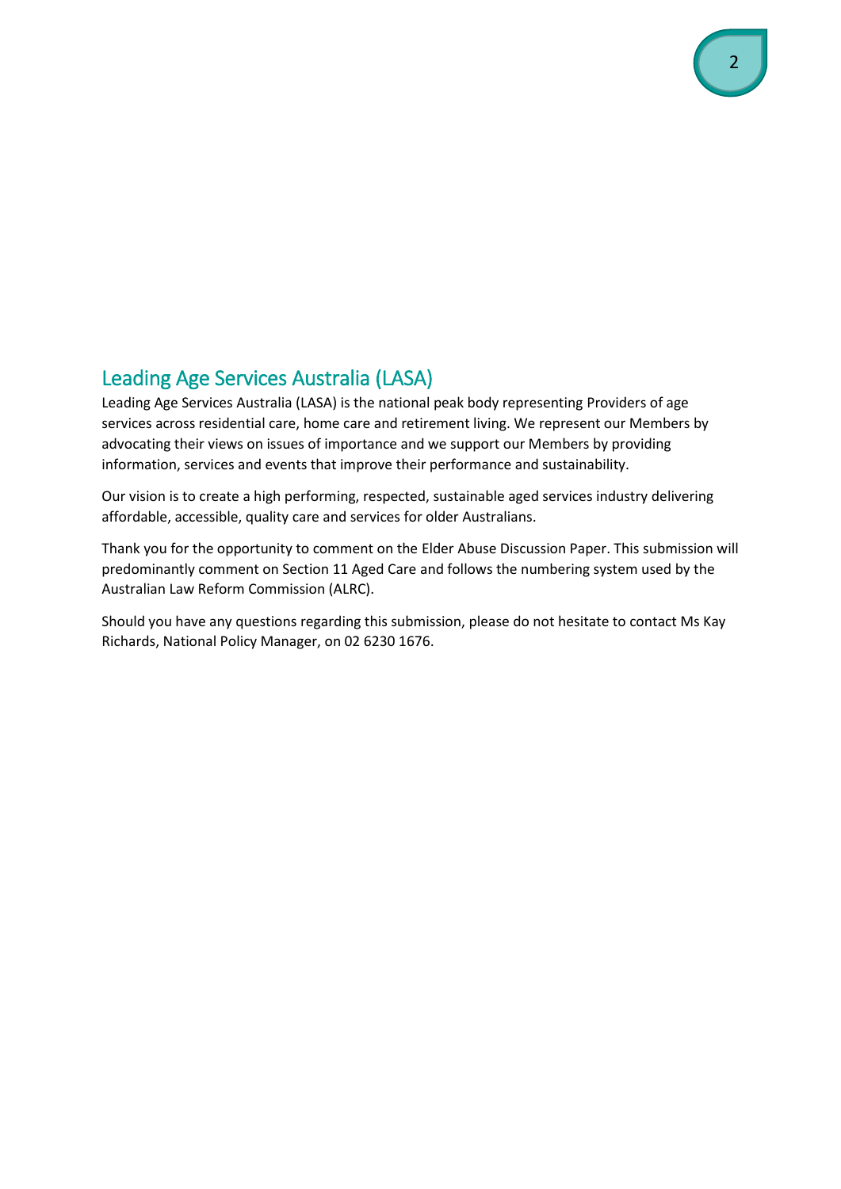# <span id="page-1-0"></span>Leading Age Services Australia (LASA)

Leading Age Services Australia (LASA) is the national peak body representing Providers of age services across residential care, home care and retirement living. We represent our Members by advocating their views on issues of importance and we support our Members by providing information, services and events that improve their performance and sustainability.

Our vision is to create a high performing, respected, sustainable aged services industry delivering affordable, accessible, quality care and services for older Australians.

Thank you for the opportunity to comment on the Elder Abuse Discussion Paper. This submission will predominantly comment on Section 11 Aged Care and follows the numbering system used by the Australian Law Reform Commission (ALRC).

Should you have any questions regarding this submission, please do not hesitate to contact Ms Kay Richards, National Policy Manager, on 02 6230 1676.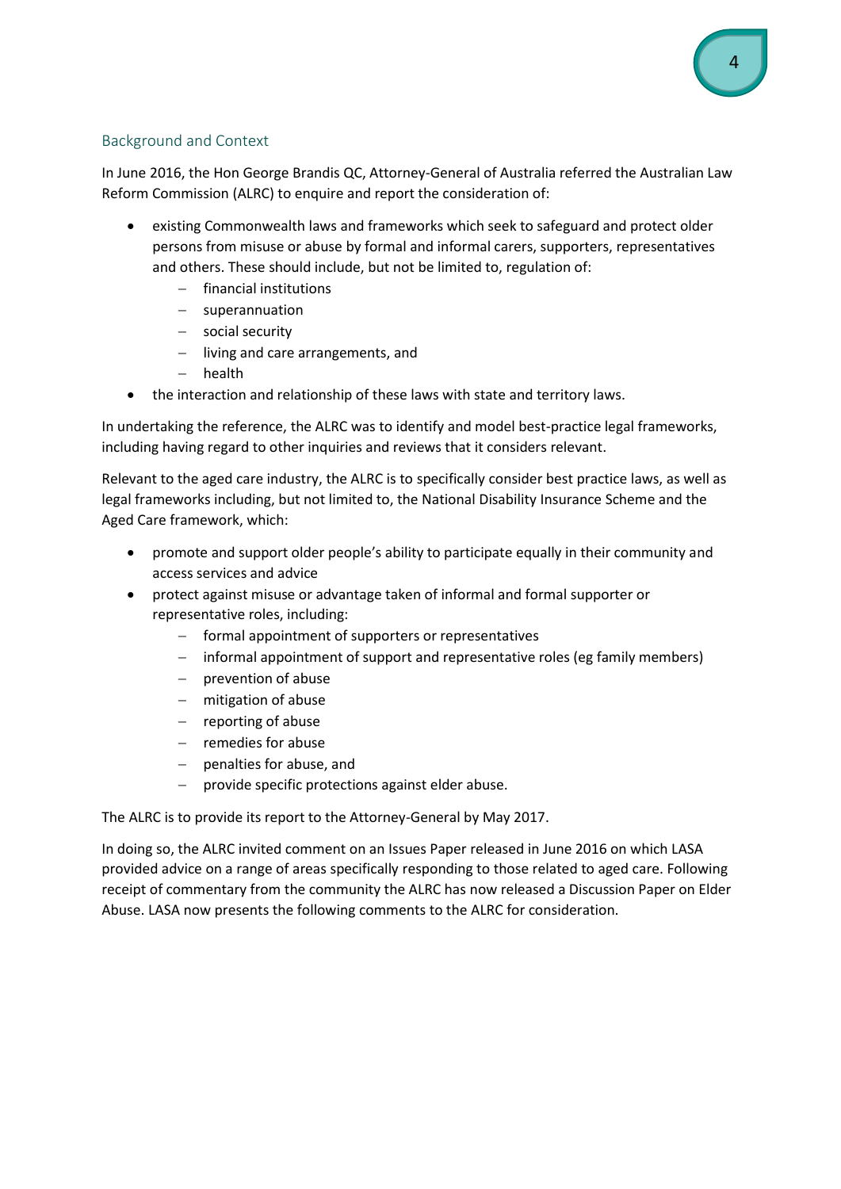# <span id="page-3-0"></span>Background and Context

In June 2016, the Hon George Brandis QC, Attorney-General of Australia referred the Australian Law Reform Commission (ALRC) to enquire and report the consideration of:

- existing Commonwealth laws and frameworks which seek to safeguard and protect older persons from misuse or abuse by formal and informal carers, supporters, representatives and others. These should include, but not be limited to, regulation of:
	- $-$  financial institutions
	- $-$  superannuation
	- social security
	- $-$  living and care arrangements, and
	- $-$  health
- the interaction and relationship of these laws with state and territory laws.

In undertaking the reference, the ALRC was to identify and model best-practice legal frameworks, including having regard to other inquiries and reviews that it considers relevant.

Relevant to the aged care industry, the ALRC is to specifically consider best practice laws, as well as legal frameworks including, but not limited to, the National Disability Insurance Scheme and the Aged Care framework, which:

- promote and support older people's ability to participate equally in their community and access services and advice
- protect against misuse or advantage taken of informal and formal supporter or representative roles, including:
	- formal appointment of supporters or representatives
	- informal appointment of support and representative roles (eg family members)
	- $-$  prevention of abuse
	- mitigation of abuse
	- $-$  reporting of abuse
	- $-$  remedies for abuse
	- penalties for abuse, and
	- provide specific protections against elder abuse.

The ALRC is to provide its report to the Attorney-General by May 2017.

In doing so, the ALRC invited comment on an Issues Paper released in June 2016 on which LASA provided advice on a range of areas specifically responding to those related to aged care. Following receipt of commentary from the community the ALRC has now released a Discussion Paper on Elder Abuse. LASA now presents the following comments to the ALRC for consideration.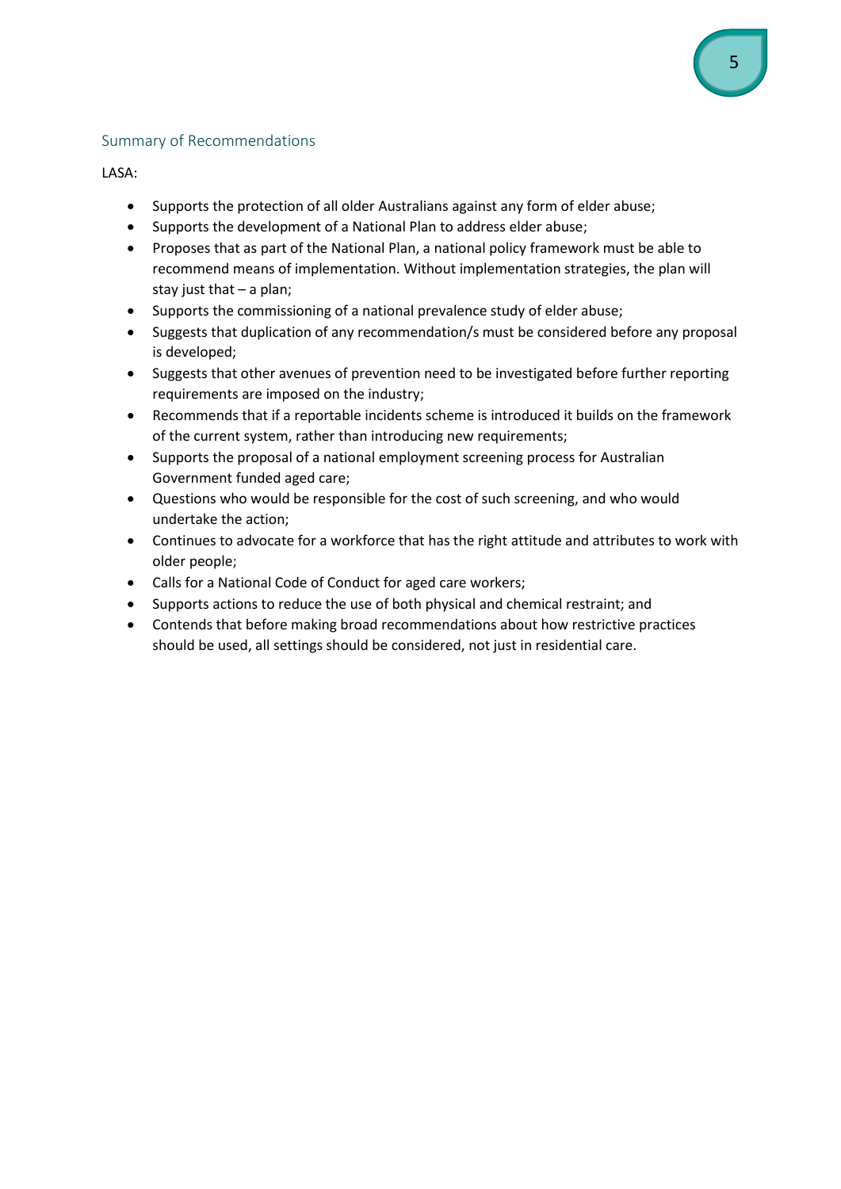# <span id="page-4-0"></span>Summary of Recommendations

LASA:

- Supports the protection of all older Australians against any form of elder abuse;
- Supports the development of a National Plan to address elder abuse;
- Proposes that as part of the National Plan, a national policy framework must be able to recommend means of implementation. Without implementation strategies, the plan will stay just that – a plan;
- Supports the commissioning of a national prevalence study of elder abuse;
- Suggests that duplication of any recommendation/s must be considered before any proposal is developed;
- Suggests that other avenues of prevention need to be investigated before further reporting requirements are imposed on the industry;
- Recommends that if a reportable incidents scheme is introduced it builds on the framework of the current system, rather than introducing new requirements;
- Supports the proposal of a national employment screening process for Australian Government funded aged care;
- Questions who would be responsible for the cost of such screening, and who would undertake the action;
- Continues to advocate for a workforce that has the right attitude and attributes to work with older people;
- Calls for a National Code of Conduct for aged care workers;
- Supports actions to reduce the use of both physical and chemical restraint; and
- Contends that before making broad recommendations about how restrictive practices should be used, all settings should be considered, not just in residential care.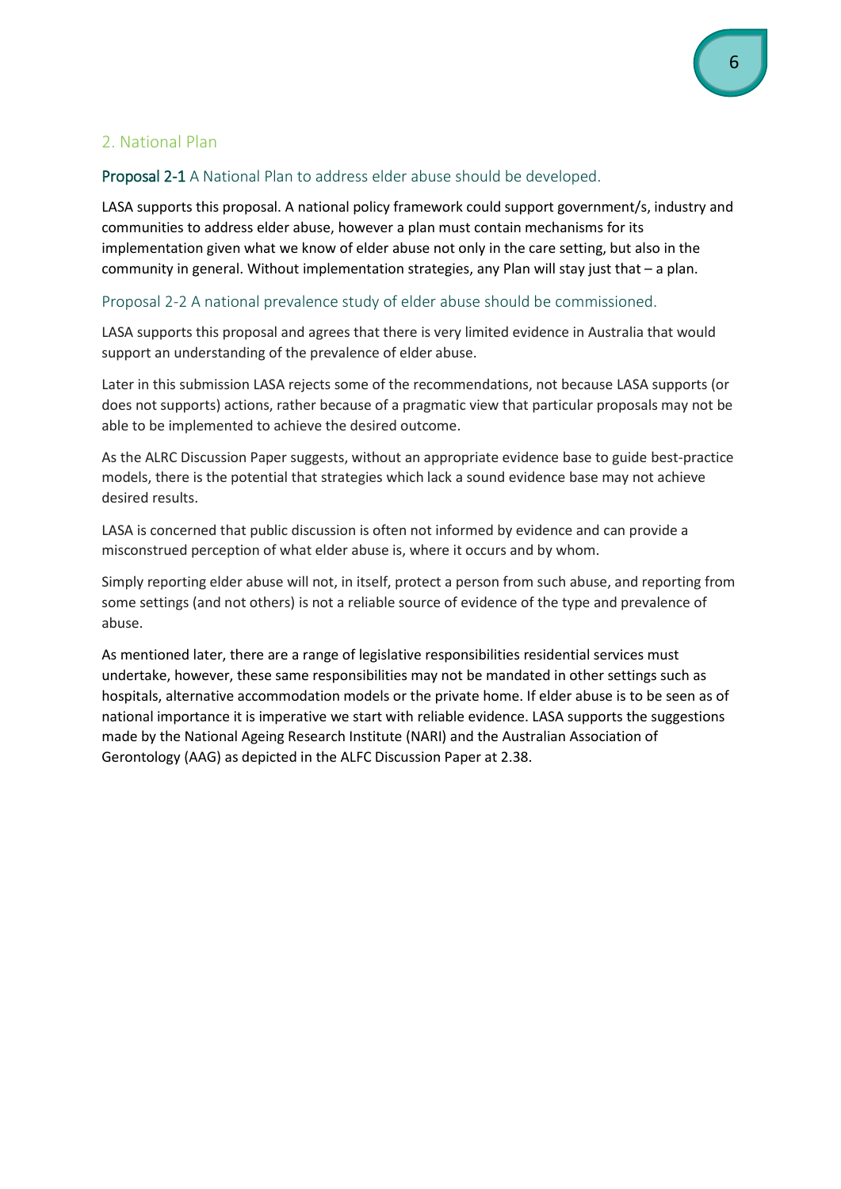# <span id="page-5-0"></span>2. National Plan

### <span id="page-5-1"></span>Proposal 2-1 A National Plan to address elder abuse should be developed.

LASA supports this proposal. A national policy framework could support government/s, industry and communities to address elder abuse, however a plan must contain mechanisms for its implementation given what we know of elder abuse not only in the care setting, but also in the community in general. Without implementation strategies, any Plan will stay just that – a plan.

#### <span id="page-5-2"></span>Proposal 2-2 A national prevalence study of elder abuse should be commissioned.

LASA supports this proposal and agrees that there is very limited evidence in Australia that would support an understanding of the prevalence of elder abuse.

Later in this submission LASA rejects some of the recommendations, not because LASA supports (or does not supports) actions, rather because of a pragmatic view that particular proposals may not be able to be implemented to achieve the desired outcome.

As the ALRC Discussion Paper suggests, without an appropriate evidence base to guide best-practice models, there is the potential that strategies which lack a sound evidence base may not achieve desired results.

LASA is concerned that public discussion is often not informed by evidence and can provide a misconstrued perception of what elder abuse is, where it occurs and by whom.

Simply reporting elder abuse will not, in itself, protect a person from such abuse, and reporting from some settings (and not others) is not a reliable source of evidence of the type and prevalence of abuse.

As mentioned later, there are a range of legislative responsibilities residential services must undertake, however, these same responsibilities may not be mandated in other settings such as hospitals, alternative accommodation models or the private home. If elder abuse is to be seen as of national importance it is imperative we start with reliable evidence. LASA supports the suggestions made by the National Ageing Research Institute (NARI) and the Australian Association of Gerontology (AAG) as depicted in the ALFC Discussion Paper at 2.38.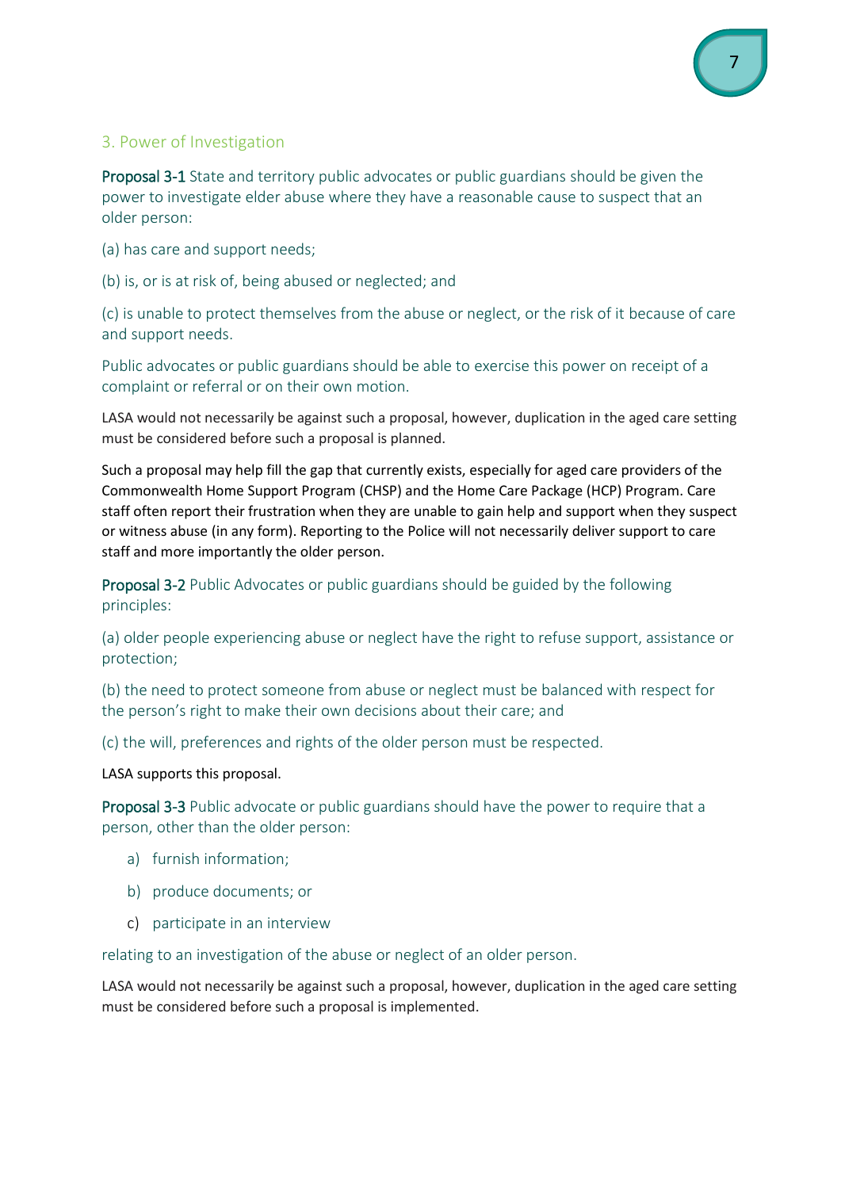# <span id="page-6-0"></span>3. Power of Investigation

<span id="page-6-1"></span>Proposal 3-1 State and territory public advocates or public guardians should be given the power to investigate elder abuse where they have a reasonable cause to suspect that an older person:

(a) has care and support needs;

(b) is, or is at risk of, being abused or neglected; and

(c) is unable to protect themselves from the abuse or neglect, or the risk of it because of care and support needs.

Public advocates or public guardians should be able to exercise this power on receipt of a complaint or referral or on their own motion.

LASA would not necessarily be against such a proposal, however, duplication in the aged care setting must be considered before such a proposal is planned.

Such a proposal may help fill the gap that currently exists, especially for aged care providers of the Commonwealth Home Support Program (CHSP) and the Home Care Package (HCP) Program. Care staff often report their frustration when they are unable to gain help and support when they suspect or witness abuse (in any form). Reporting to the Police will not necessarily deliver support to care staff and more importantly the older person.

<span id="page-6-2"></span>Proposal 3-2 Public Advocates or public guardians should be guided by the following principles:

(a) older people experiencing abuse or neglect have the right to refuse support, assistance or protection;

(b) the need to protect someone from abuse or neglect must be balanced with respect for the person's right to make their own decisions about their care; and

(c) the will, preferences and rights of the older person must be respected.

LASA supports this proposal.

<span id="page-6-3"></span>Proposal 3-3 Public advocate or public guardians should have the power to require that a person, other than the older person:

- a) furnish information;
- b) produce documents; or
- c) participate in an interview

relating to an investigation of the abuse or neglect of an older person.

LASA would not necessarily be against such a proposal, however, duplication in the aged care setting must be considered before such a proposal is implemented.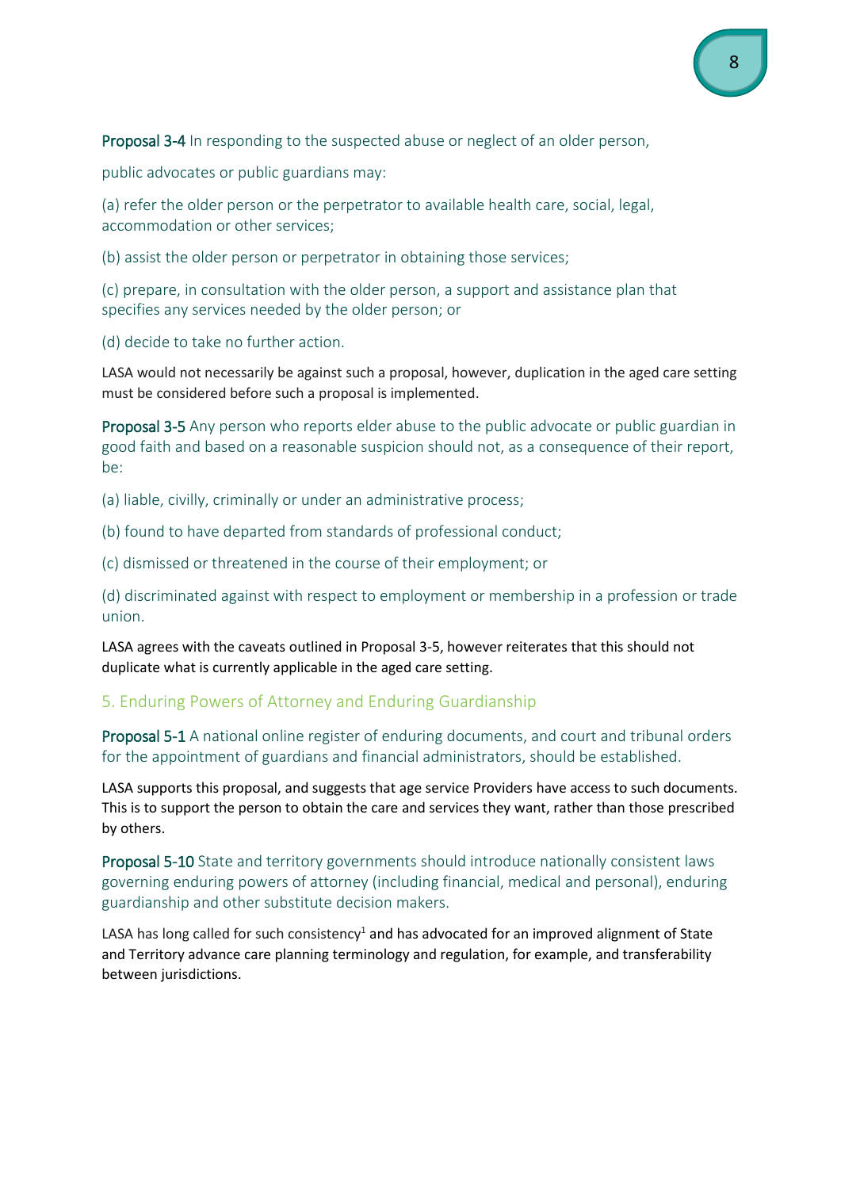<span id="page-7-0"></span>Proposal 3-4 In responding to the suspected abuse or neglect of an older person,

public advocates or public guardians may:

(a) refer the older person or the perpetrator to available health care, social, legal, accommodation or other services;

(b) assist the older person or perpetrator in obtaining those services;

(c) prepare, in consultation with the older person, a support and assistance plan that specifies any services needed by the older person; or

(d) decide to take no further action.

LASA would not necessarily be against such a proposal, however, duplication in the aged care setting must be considered before such a proposal is implemented.

<span id="page-7-1"></span>Proposal 3-5 Any person who reports elder abuse to the public advocate or public guardian in good faith and based on a reasonable suspicion should not, as a consequence of their report, be:

(a) liable, civilly, criminally or under an administrative process;

(b) found to have departed from standards of professional conduct;

(c) dismissed or threatened in the course of their employment; or

(d) discriminated against with respect to employment or membership in a profession or trade union.

LASA agrees with the caveats outlined in Proposal 3-5, however reiterates that this should not duplicate what is currently applicable in the aged care setting.

# <span id="page-7-2"></span>5. Enduring Powers of Attorney and Enduring Guardianship

<span id="page-7-3"></span>Proposal 5-1 A national online register of enduring documents, and court and tribunal orders for the appointment of guardians and financial administrators, should be established.

LASA supports this proposal, and suggests that age service Providers have access to such documents. This is to support the person to obtain the care and services they want, rather than those prescribed by others.

<span id="page-7-4"></span>Proposal 5-10 State and territory governments should introduce nationally consistent laws governing enduring powers of attorney (including financial, medical and personal), enduring guardianship and other substitute decision makers.

<span id="page-7-5"></span>LASA has long called for such consistency<sup>1</sup> and has advocated for an improved alignment of State and Territory advance care planning terminology and regulation, for example, and transferability between jurisdictions.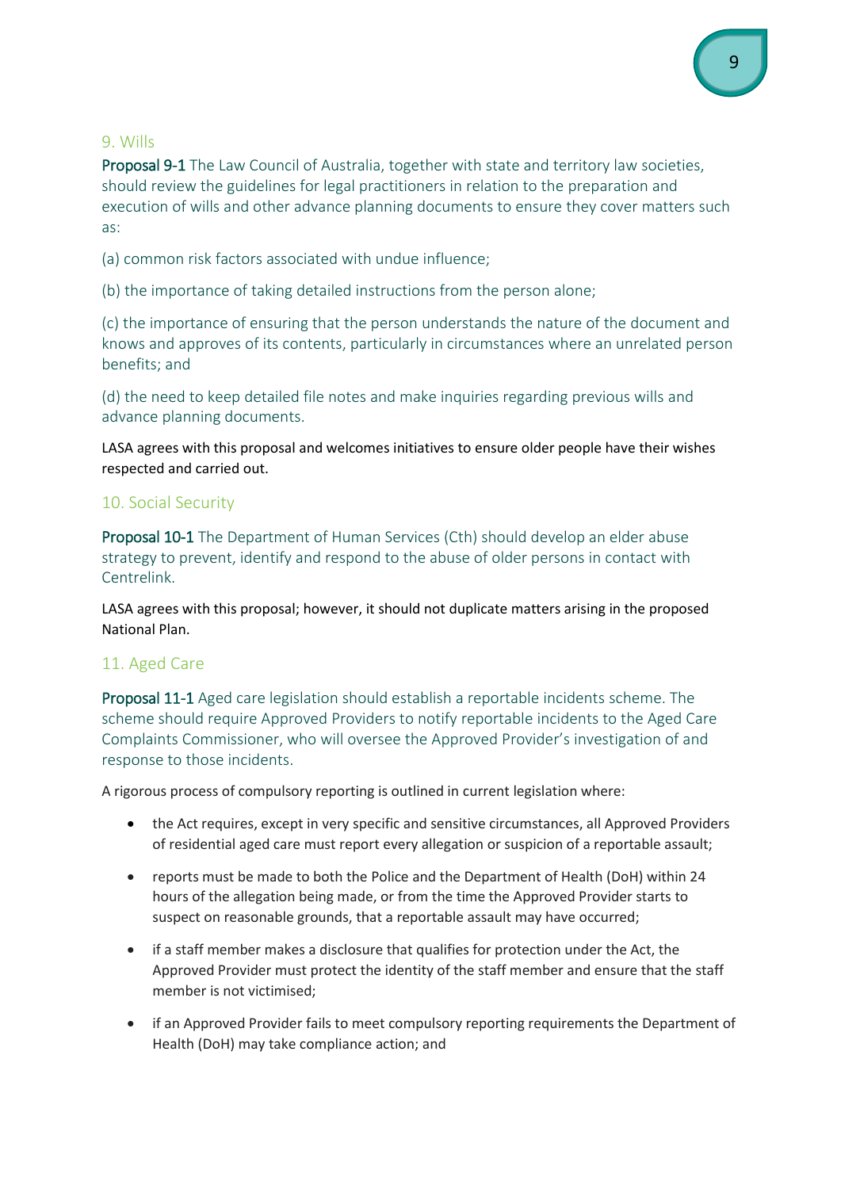#### 9. Wills

<span id="page-8-0"></span>Proposal 9-1 The Law Council of Australia, together with state and territory law societies, should review the guidelines for legal practitioners in relation to the preparation and execution of wills and other advance planning documents to ensure they cover matters such as:

(a) common risk factors associated with undue influence;

(b) the importance of taking detailed instructions from the person alone;

(c) the importance of ensuring that the person understands the nature of the document and knows and approves of its contents, particularly in circumstances where an unrelated person benefits; and

(d) the need to keep detailed file notes and make inquiries regarding previous wills and advance planning documents.

LASA agrees with this proposal and welcomes initiatives to ensure older people have their wishes respected and carried out.

#### <span id="page-8-1"></span>10. Social Security

<span id="page-8-2"></span>Proposal 10-1 The Department of Human Services (Cth) should develop an elder abuse strategy to prevent, identify and respond to the abuse of older persons in contact with Centrelink.

LASA agrees with this proposal; however, it should not duplicate matters arising in the proposed National Plan.

#### <span id="page-8-3"></span>11. Aged Care

<span id="page-8-4"></span>Proposal 11-1 Aged care legislation should establish a reportable incidents scheme. The scheme should require Approved Providers to notify reportable incidents to the Aged Care Complaints Commissioner, who will oversee the Approved Provider's investigation of and response to those incidents.

A rigorous process of compulsory reporting is outlined in current legislation where:

- the Act requires, except in very specific and sensitive circumstances, all Approved Providers of residential aged care must report every allegation or suspicion of a reportable assault;
- reports must be made to both the Police and the Department of Health (DoH) within 24 hours of the allegation being made, or from the time the Approved Provider starts to suspect on reasonable grounds, that a reportable assault may have occurred;
- if a staff member makes a disclosure that qualifies for protection under the Act, the Approved Provider must protect the identity of the staff member and ensure that the staff member is not victimised;
- if an Approved Provider fails to meet compulsory reporting requirements the Department of Health (DoH) may take compliance action; and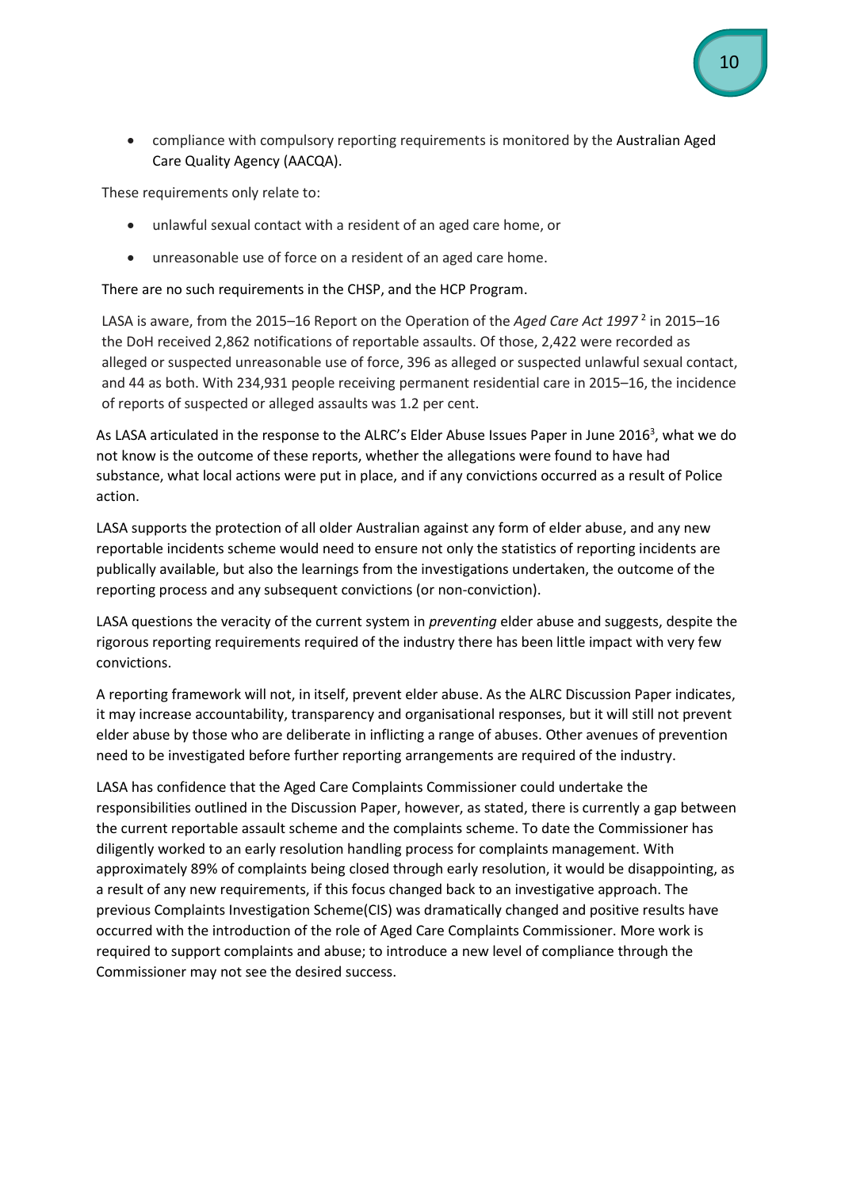• compliance with compulsory reporting requirements is monitored by the [Australian Aged](https://www.aacqa.gov.au/)  [Care Quality Agency](https://www.aacqa.gov.au/) (AACQA).

These requirements only relate to:

- unlawful sexual contact with a resident of an aged care home, or
- unreasonable use of force on a resident of an aged care home.

There are no such requirements in the CHSP, and the HCP Program.

LASA is aware, from the 2015–16 Report on the Operation of the *Aged Care Act 1997* <sup>2</sup> in 2015–16 the DoH received 2,862 notifications of reportable assaults. Of those, 2,422 were recorded as alleged or suspected unreasonable use of force, 396 as alleged or suspected unlawful sexual contact, and 44 as both. With 234,931 people receiving permanent residential care in 2015–16, the incidence of reports of suspected or alleged assaults was 1.2 per cent.

As LASA articulated in the response to the ALRC's Elder Abuse Issues Paper in June 2016<sup>3</sup>, what we do not know is the outcome of these reports, whether the allegations were found to have had substance, what local actions were put in place, and if any convictions occurred as a result of Police action.

LASA supports the protection of all older Australian against any form of elder abuse, and any new reportable incidents scheme would need to ensure not only the statistics of reporting incidents are publically available, but also the learnings from the investigations undertaken, the outcome of the reporting process and any subsequent convictions (or non-conviction).

LASA questions the veracity of the current system in *preventing* elder abuse and suggests, despite the rigorous reporting requirements required of the industry there has been little impact with very few convictions.

A reporting framework will not, in itself, prevent elder abuse. As the ALRC Discussion Paper indicates, it may increase accountability, transparency and organisational responses, but it will still not prevent elder abuse by those who are deliberate in inflicting a range of abuses. Other avenues of prevention need to be investigated before further reporting arrangements are required of the industry.

LASA has confidence that the Aged Care Complaints Commissioner could undertake the responsibilities outlined in the Discussion Paper, however, as stated, there is currently a gap between the current reportable assault scheme and the complaints scheme. To date the Commissioner has diligently worked to an early resolution handling process for complaints management. With approximately 89% of complaints being closed through early resolution, it would be disappointing, as a result of any new requirements, if this focus changed back to an investigative approach. The previous Complaints Investigation Scheme(CIS) was dramatically changed and positive results have occurred with the introduction of the role of Aged Care Complaints Commissioner. More work is required to support complaints and abuse; to introduce a new level of compliance through the Commissioner may not see the desired success.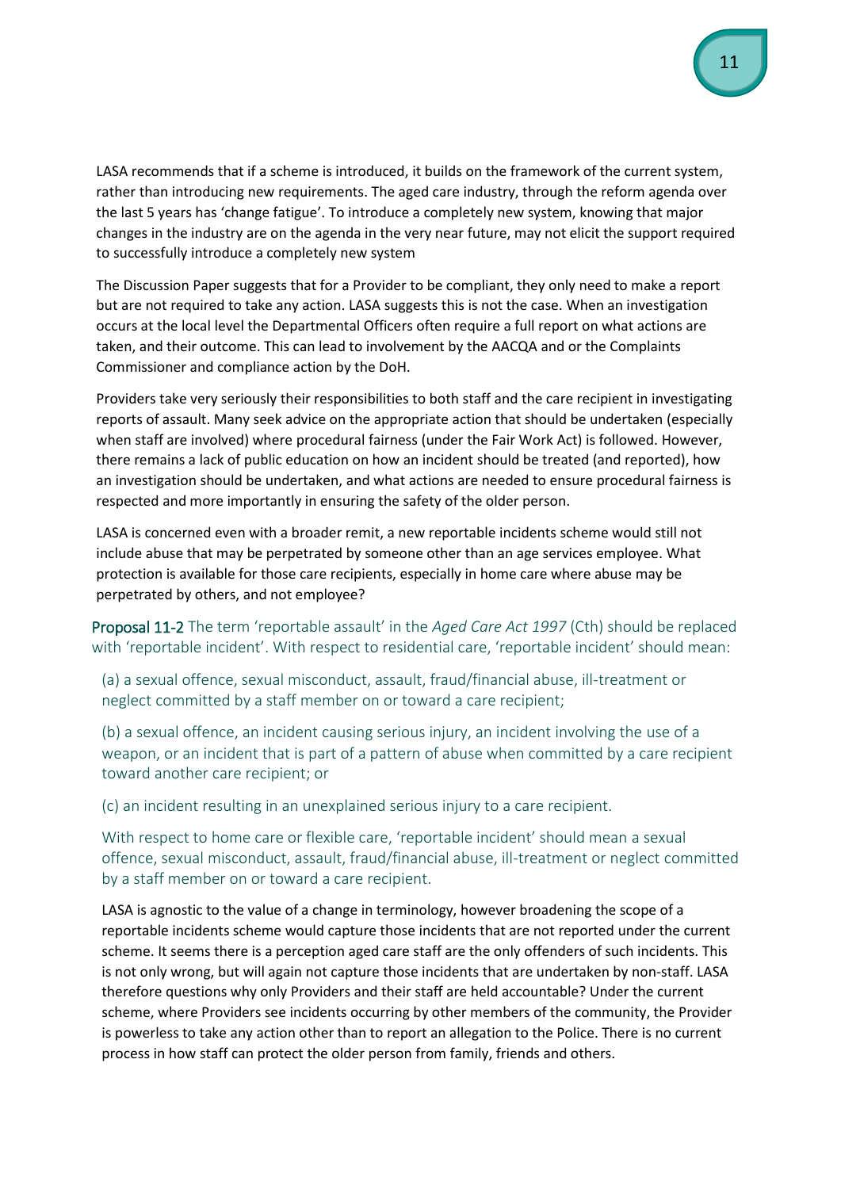LASA recommends that if a scheme is introduced, it builds on the framework of the current system, rather than introducing new requirements. The aged care industry, through the reform agenda over the last 5 years has 'change fatigue'. To introduce a completely new system, knowing that major changes in the industry are on the agenda in the very near future, may not elicit the support required to successfully introduce a completely new system

The Discussion Paper suggests that for a Provider to be compliant, they only need to make a report but are not required to take any action. LASA suggests this is not the case. When an investigation occurs at the local level the Departmental Officers often require a full report on what actions are taken, and their outcome. This can lead to involvement by the AACQA and or the Complaints Commissioner and compliance action by the DoH.

Providers take very seriously their responsibilities to both staff and the care recipient in investigating reports of assault. Many seek advice on the appropriate action that should be undertaken (especially when staff are involved) where procedural fairness (under the Fair Work Act) is followed. However, there remains a lack of public education on how an incident should be treated (and reported), how an investigation should be undertaken, and what actions are needed to ensure procedural fairness is respected and more importantly in ensuring the safety of the older person.

LASA is concerned even with a broader remit, a new reportable incidents scheme would still not include abuse that may be perpetrated by someone other than an age services employee. What protection is available for those care recipients, especially in home care where abuse may be perpetrated by others, and not employee?

<span id="page-10-0"></span>Proposal 11-2 The term 'reportable assault' in the *Aged Care Act 1997* (Cth) should be replaced with 'reportable incident'. With respect to residential care, 'reportable incident' should mean:

(a) a sexual offence, sexual misconduct, assault, fraud/financial abuse, ill-treatment or neglect committed by a staff member on or toward a care recipient;

(b) a sexual offence, an incident causing serious injury, an incident involving the use of a weapon, or an incident that is part of a pattern of abuse when committed by a care recipient toward another care recipient; or

(c) an incident resulting in an unexplained serious injury to a care recipient.

With respect to home care or flexible care, 'reportable incident' should mean a sexual offence, sexual misconduct, assault, fraud/financial abuse, ill-treatment or neglect committed by a staff member on or toward a care recipient.

LASA is agnostic to the value of a change in terminology, however broadening the scope of a reportable incidents scheme would capture those incidents that are not reported under the current scheme. It seems there is a perception aged care staff are the only offenders of such incidents. This is not only wrong, but will again not capture those incidents that are undertaken by non-staff. LASA therefore questions why only Providers and their staff are held accountable? Under the current scheme, where Providers see incidents occurring by other members of the community, the Provider is powerless to take any action other than to report an allegation to the Police. There is no current process in how staff can protect the older person from family, friends and others.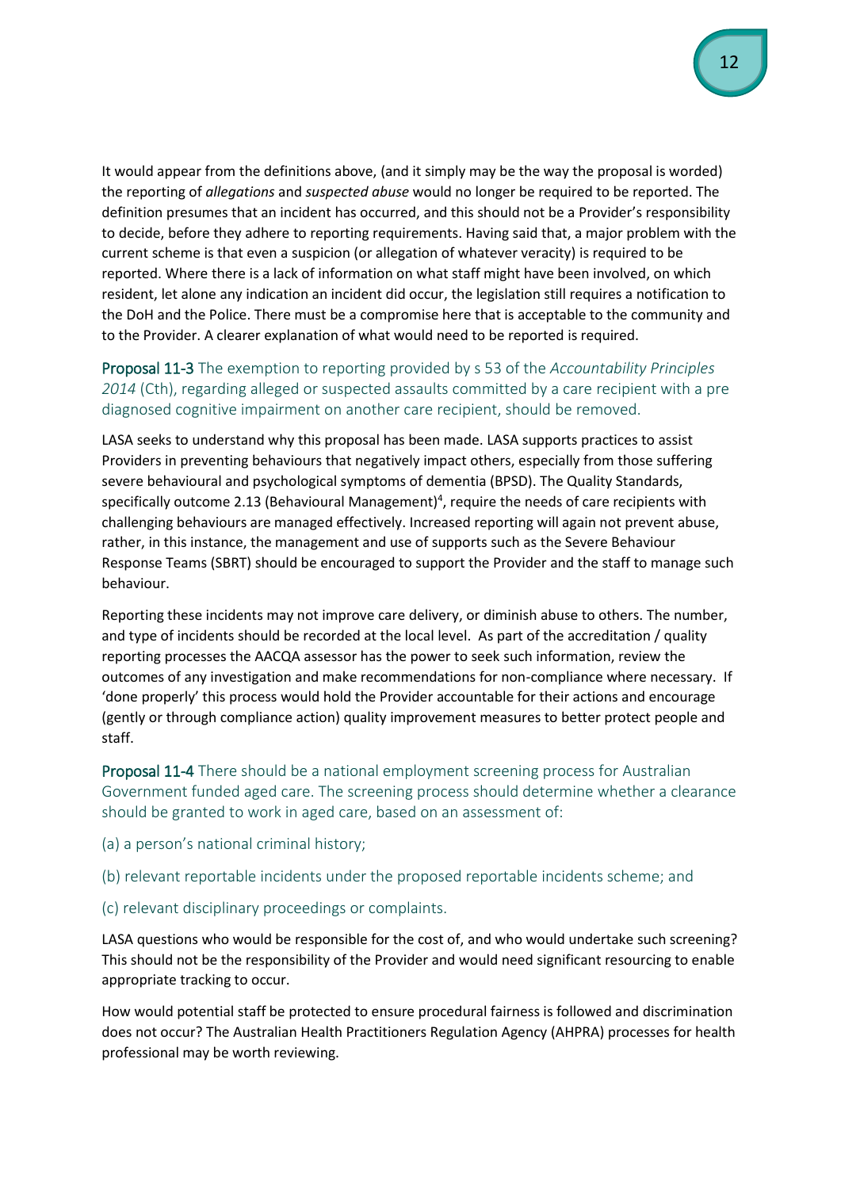It would appear from the definitions above, (and it simply may be the way the proposal is worded) the reporting of *allegations* and *suspected abuse* would no longer be required to be reported. The definition presumes that an incident has occurred, and this should not be a Provider's responsibility to decide, before they adhere to reporting requirements. Having said that, a major problem with the current scheme is that even a suspicion (or allegation of whatever veracity) is required to be reported. Where there is a lack of information on what staff might have been involved, on which resident, let alone any indication an incident did occur, the legislation still requires a notification to the DoH and the Police. There must be a compromise here that is acceptable to the community and to the Provider. A clearer explanation of what would need to be reported is required.

# <span id="page-11-0"></span>Proposal 11-3 The exemption to reporting provided by s 53 of the *Accountability Principles 2014* (Cth), regarding alleged or suspected assaults committed by a care recipient with a pre diagnosed cognitive impairment on another care recipient, should be removed.

LASA seeks to understand why this proposal has been made. LASA supports practices to assist Providers in preventing behaviours that negatively impact others, especially from those suffering severe behavioural and psychological symptoms of dementia (BPSD). The Quality Standards, specifically outcome 2.13 (Behavioural Management)<sup>4</sup>, require the needs of care recipients with challenging behaviours are managed effectively. Increased reporting will again not prevent abuse, rather, in this instance, the management and use of supports such as the Severe Behaviour Response Teams (SBRT) should be encouraged to support the Provider and the staff to manage such behaviour.

Reporting these incidents may not improve care delivery, or diminish abuse to others. The number, and type of incidents should be recorded at the local level. As part of the accreditation / quality reporting processes the AACQA assessor has the power to seek such information, review the outcomes of any investigation and make recommendations for non-compliance where necessary. If 'done properly' this process would hold the Provider accountable for their actions and encourage (gently or through compliance action) quality improvement measures to better protect people and staff.

<span id="page-11-1"></span>Proposal 11-4 There should be a national employment screening process for Australian Government funded aged care. The screening process should determine whether a clearance should be granted to work in aged care, based on an assessment of:

(a) a person's national criminal history;

(b) relevant reportable incidents under the proposed reportable incidents scheme; and

(c) relevant disciplinary proceedings or complaints.

LASA questions who would be responsible for the cost of, and who would undertake such screening? This should not be the responsibility of the Provider and would need significant resourcing to enable appropriate tracking to occur.

How would potential staff be protected to ensure procedural fairness is followed and discrimination does not occur? The Australian Health Practitioners Regulation Agency (AHPRA) processes for health professional may be worth reviewing.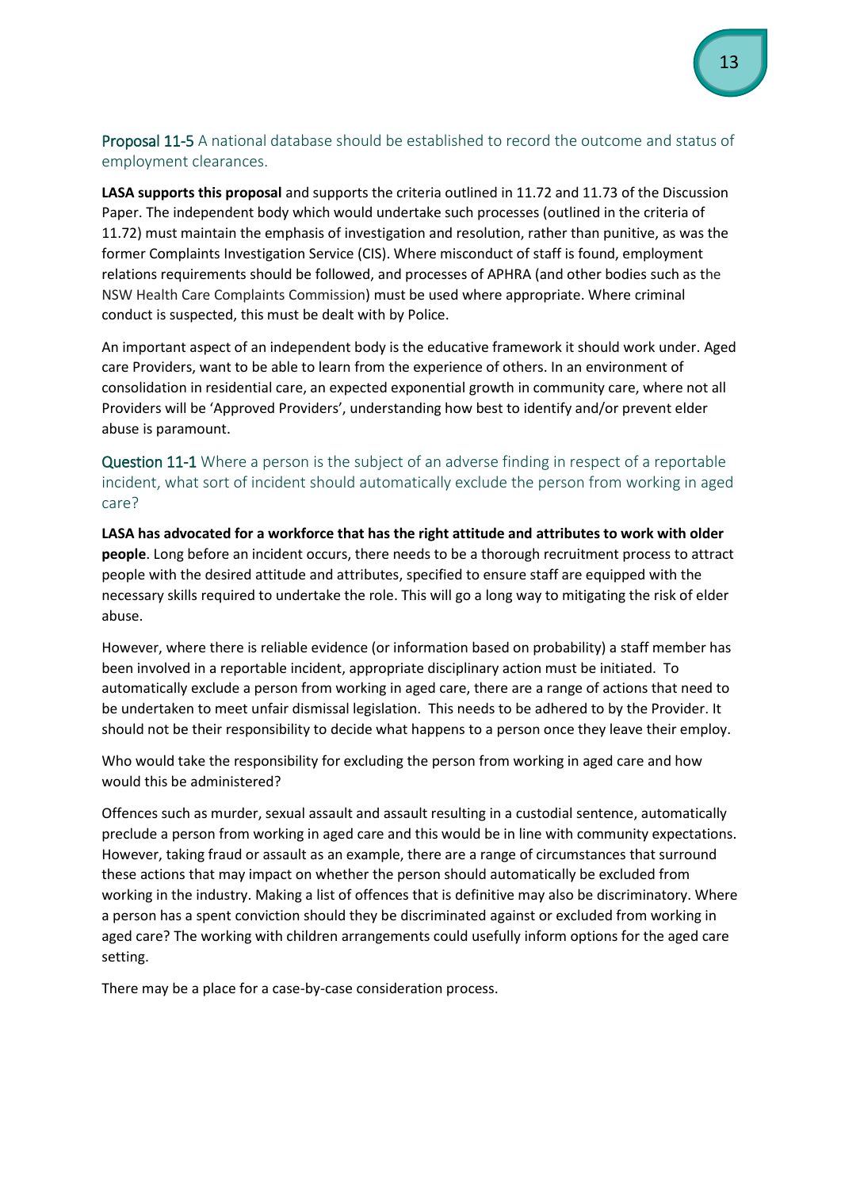# <span id="page-12-0"></span>Proposal 11-5 A national database should be established to record the outcome and status of employment clearances.

**LASA supports this proposal** and supports the criteria outlined in 11.72 and 11.73 of the Discussion Paper. The independent body which would undertake such processes (outlined in the criteria of 11.72) must maintain the emphasis of investigation and resolution, rather than punitive, as was the former Complaints Investigation Service (CIS). Where misconduct of staff is found, employment relations requirements should be followed, and processes of APHRA (and other bodies such as the NSW Health Care Complaints Commission) must be used where appropriate. Where criminal conduct is suspected, this must be dealt with by Police.

An important aspect of an independent body is the educative framework it should work under. Aged care Providers, want to be able to learn from the experience of others. In an environment of consolidation in residential care, an expected exponential growth in community care, where not all Providers will be 'Approved Providers', understanding how best to identify and/or prevent elder abuse is paramount.

# <span id="page-12-1"></span>Question 11-1 Where a person is the subject of an adverse finding in respect of a reportable incident, what sort of incident should automatically exclude the person from working in aged care?

**LASA has advocated for a workforce that has the right attitude and attributes to work with older people**. Long before an incident occurs, there needs to be a thorough recruitment process to attract people with the desired attitude and attributes, specified to ensure staff are equipped with the necessary skills required to undertake the role. This will go a long way to mitigating the risk of elder abuse.

However, where there is reliable evidence (or information based on probability) a staff member has been involved in a reportable incident, appropriate disciplinary action must be initiated. To automatically exclude a person from working in aged care, there are a range of actions that need to be undertaken to meet unfair dismissal legislation. This needs to be adhered to by the Provider. It should not be their responsibility to decide what happens to a person once they leave their employ.

Who would take the responsibility for excluding the person from working in aged care and how would this be administered?

Offences such as murder, sexual assault and assault resulting in a custodial sentence, automatically preclude a person from working in aged care and this would be in line with community expectations. However, taking fraud or assault as an example, there are a range of circumstances that surround these actions that may impact on whether the person should automatically be excluded from working in the industry. Making a list of offences that is definitive may also be discriminatory. Where a person has a spent conviction should they be discriminated against or excluded from working in aged care? The working with children arrangements could usefully inform options for the aged care setting.

There may be a place for a case-by-case consideration process.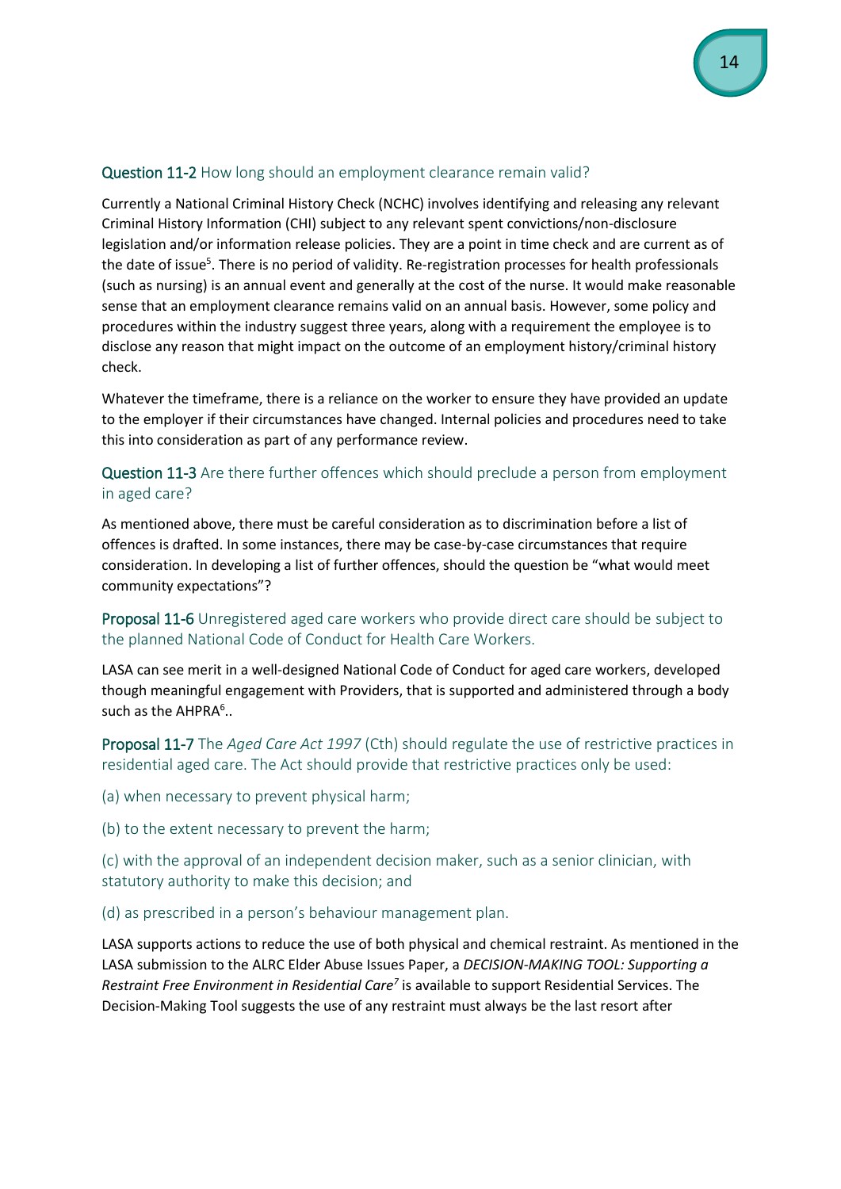# <span id="page-13-0"></span>Question 11-2 How long should an employment clearance remain valid?

Currently a National Criminal History Check (NCHC) involves identifying and releasing any relevant Criminal History Information (CHI) subject to any relevant spent convictions/non-disclosure legislation and/or information release policies. They are a point in time check and are current as of the date of issue<sup>5</sup>. There is no period of validity. Re-registration processes for health professionals (such as nursing) is an annual event and generally at the cost of the nurse. It would make reasonable sense that an employment clearance remains valid on an annual basis. However, some policy and procedures within the industry suggest three years, along with a requirement the employee is to disclose any reason that might impact on the outcome of an employment history/criminal history check.

Whatever the timeframe, there is a reliance on the worker to ensure they have provided an update to the employer if their circumstances have changed. Internal policies and procedures need to take this into consideration as part of any performance review.

# <span id="page-13-1"></span>Question 11-3 Are there further offences which should preclude a person from employment in aged care?

As mentioned above, there must be careful consideration as to discrimination before a list of offences is drafted. In some instances, there may be case-by-case circumstances that require consideration. In developing a list of further offences, should the question be "what would meet community expectations"?

# <span id="page-13-2"></span>Proposal 11-6 Unregistered aged care workers who provide direct care should be subject to the planned National Code of Conduct for Health Care Workers.

LASA can see merit in a well-designed National Code of Conduct for aged care workers, developed though meaningful engagement with Providers, that is supported and administered through a body such as the AHPRA<sup>6</sup>..

<span id="page-13-3"></span>Proposal 11-7 The *Aged Care Act 1997* (Cth) should regulate the use of restrictive practices in residential aged care. The Act should provide that restrictive practices only be used:

(a) when necessary to prevent physical harm;

(b) to the extent necessary to prevent the harm;

(c) with the approval of an independent decision maker, such as a senior clinician, with statutory authority to make this decision; and

(d) as prescribed in a person's behaviour management plan.

LASA supports actions to reduce the use of both physical and chemical restraint. As mentioned in the LASA submission to the ALRC Elder Abuse Issues Paper, a *DECISION-MAKING TOOL: Supporting a Restraint Free Environment in Residential Care<sup>7</sup>* is available to support Residential Services. The Decision-Making Tool suggests the use of any restraint must always be the last resort after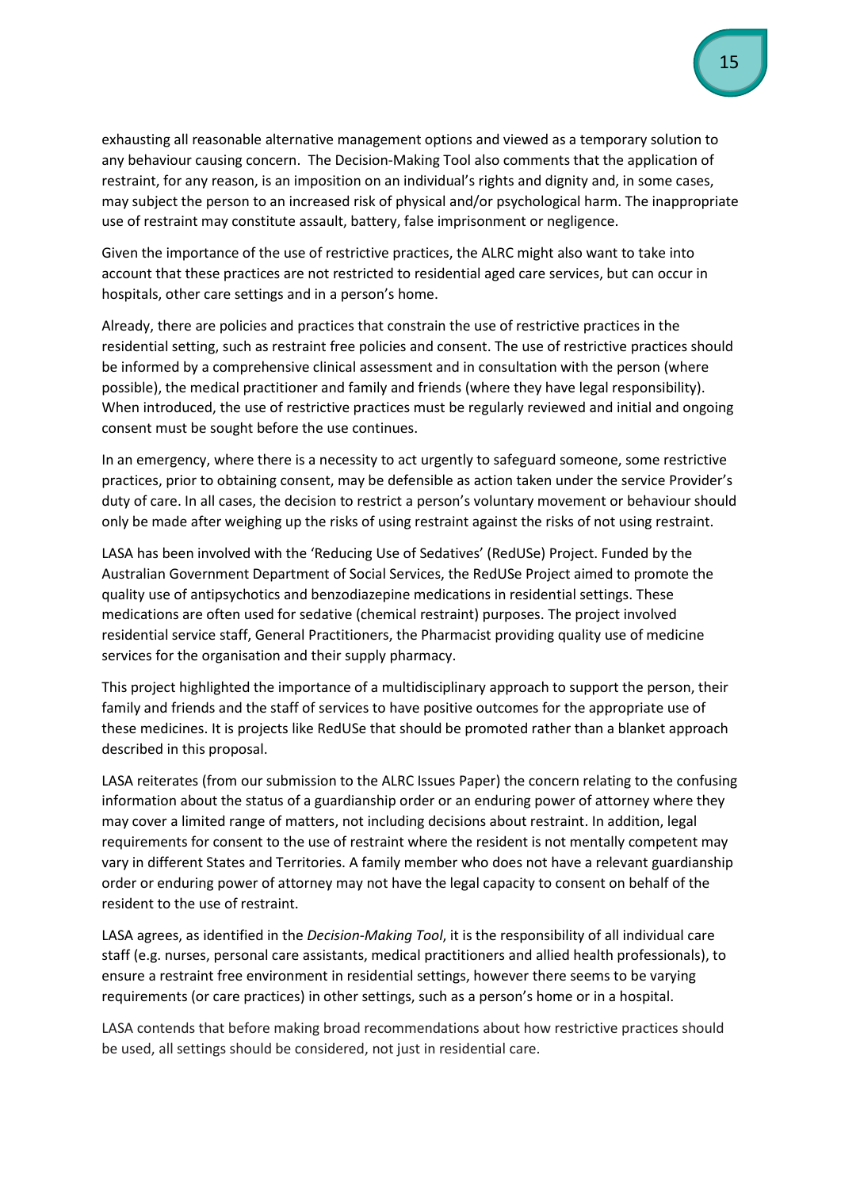exhausting all reasonable alternative management options and viewed as a temporary solution to any behaviour causing concern. The Decision-Making Tool also comments that the application of restraint, for any reason, is an imposition on an individual's rights and dignity and, in some cases, may subject the person to an increased risk of physical and/or psychological harm. The inappropriate use of restraint may constitute assault, battery, false imprisonment or negligence.

Given the importance of the use of restrictive practices, the ALRC might also want to take into account that these practices are not restricted to residential aged care services, but can occur in hospitals, other care settings and in a person's home.

Already, there are policies and practices that constrain the use of restrictive practices in the residential setting, such as restraint free policies and consent. The use of restrictive practices should be informed by a comprehensive clinical assessment and in consultation with the person (where possible), the medical practitioner and family and friends (where they have legal responsibility). When introduced, the use of restrictive practices must be regularly reviewed and initial and ongoing consent must be sought before the use continues.

In an emergency, where there is a necessity to act urgently to safeguard someone, some restrictive practices, prior to obtaining consent, may be defensible as action taken under the service Provider's duty of care. In all cases, the decision to restrict a person's voluntary movement or behaviour should only be made after weighing up the risks of using restraint against the risks of not using restraint.

LASA has been involved with the 'Reducing Use of Sedatives' (RedUSe) Project. Funded by the Australian Government Department of Social Services, the RedUSe Project aimed to promote the quality use of antipsychotics and benzodiazepine medications in residential settings. These medications are often used for sedative (chemical restraint) purposes. The project involved residential service staff, General Practitioners, the Pharmacist providing quality use of medicine services for the organisation and their supply pharmacy.

This project highlighted the importance of a multidisciplinary approach to support the person, their family and friends and the staff of services to have positive outcomes for the appropriate use of these medicines. It is projects like RedUSe that should be promoted rather than a blanket approach described in this proposal.

LASA reiterates (from our submission to the ALRC Issues Paper) the concern relating to the confusing information about the status of a guardianship order or an enduring power of attorney where they may cover a limited range of matters, not including decisions about restraint. In addition, legal requirements for consent to the use of restraint where the resident is not mentally competent may vary in different States and Territories. A family member who does not have a relevant guardianship order or enduring power of attorney may not have the legal capacity to consent on behalf of the resident to the use of restraint.

LASA agrees, as identified in the *Decision-Making Tool*, it is the responsibility of all individual care staff (e.g. nurses, personal care assistants, medical practitioners and allied health professionals), to ensure a restraint free environment in residential settings, however there seems to be varying requirements (or care practices) in other settings, such as a person's home or in a hospital.

LASA contends that before making broad recommendations about how restrictive practices should be used, all settings should be considered, not just in residential care.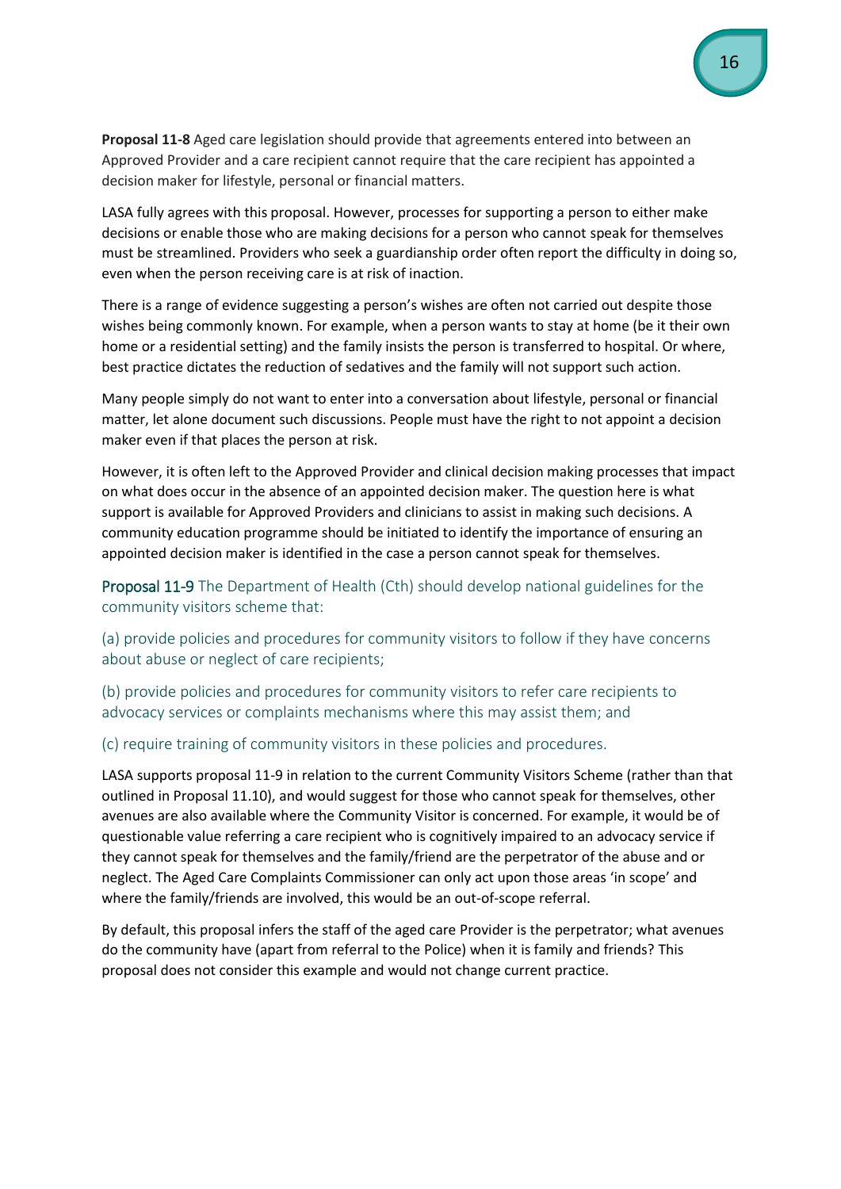<span id="page-15-0"></span>**Proposal 11-8** Aged care legislation should provide that agreements entered into between an Approved Provider and a care recipient cannot require that the care recipient has appointed a decision maker for lifestyle, personal or financial matters.

LASA fully agrees with this proposal. However, processes for supporting a person to either make decisions or enable those who are making decisions for a person who cannot speak for themselves must be streamlined. Providers who seek a guardianship order often report the difficulty in doing so, even when the person receiving care is at risk of inaction.

There is a range of evidence suggesting a person's wishes are often not carried out despite those wishes being commonly known. For example, when a person wants to stay at home (be it their own home or a residential setting) and the family insists the person is transferred to hospital. Or where, best practice dictates the reduction of sedatives and the family will not support such action.

Many people simply do not want to enter into a conversation about lifestyle, personal or financial matter, let alone document such discussions. People must have the right to not appoint a decision maker even if that places the person at risk.

However, it is often left to the Approved Provider and clinical decision making processes that impact on what does occur in the absence of an appointed decision maker. The question here is what support is available for Approved Providers and clinicians to assist in making such decisions. A community education programme should be initiated to identify the importance of ensuring an appointed decision maker is identified in the case a person cannot speak for themselves.

<span id="page-15-1"></span>Proposal 11-9 The Department of Health (Cth) should develop national guidelines for the community visitors scheme that:

(a) provide policies and procedures for community visitors to follow if they have concerns about abuse or neglect of care recipients;

(b) provide policies and procedures for community visitors to refer care recipients to advocacy services or complaints mechanisms where this may assist them; and

(c) require training of community visitors in these policies and procedures.

LASA supports proposal 11-9 in relation to the current Community Visitors Scheme (rather than that outlined in Proposal 11.10), and would suggest for those who cannot speak for themselves, other avenues are also available where the Community Visitor is concerned. For example, it would be of questionable value referring a care recipient who is cognitively impaired to an advocacy service if they cannot speak for themselves and the family/friend are the perpetrator of the abuse and or neglect. The Aged Care Complaints Commissioner can only act upon those areas 'in scope' and where the family/friends are involved, this would be an out-of-scope referral.

By default, this proposal infers the staff of the aged care Provider is the perpetrator; what avenues do the community have (apart from referral to the Police) when it is family and friends? This proposal does not consider this example and would not change current practice.